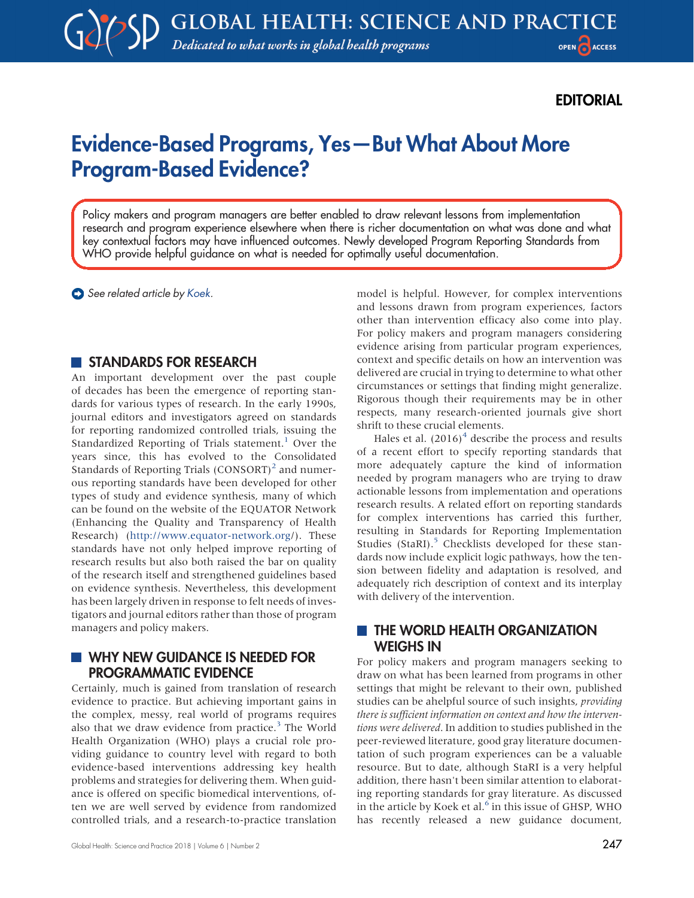## EDITORIAL

# Evidence-Based Programs, Yes—But What About More Program-Based Evidence?

Policy makers and program managers are better enabled to draw relevant lessons from implementation research and program experience elsewhere when there is richer documentation on what was done and what key contextual factors may have influenced outcomes. Newly developed Program Reporting Standards from WHO provide helpful guidance on what is needed for optimally useful documentation.

See related article by [Koek](https://doi.org/10.9745/GHSP-D-18-00136).

#### STANDARDS FOR RESEARCH

An important development over the past couple of decades has been the emergence of reporting standards for various types of research. In the early 1990s, journal editors and investigators agreed on standards for reporting randomized controlled trials, issuing the Standardized Reporting of Trials statement.<sup>[1](#page-1-0)</sup> Over the years since, this has evolved to the Consolidated Standards of Reporting Trials  $(CONSORT)^2$  $(CONSORT)^2$  and numerous reporting standards have been developed for other types of study and evidence synthesis, many of which can be found on the website of the EQUATOR Network (Enhancing the Quality and Transparency of Health Research) (<http://www.equator-network.org>/). These standards have not only helped improve reporting of research results but also both raised the bar on quality of the research itself and strengthened guidelines based on evidence synthesis. Nevertheless, this development has been largely driven in response to felt needs of investigators and journal editors rather than those of program managers and policy makers.

#### **WHY NEW GUIDANCE IS NEEDED FOR** PROGRAMMATIC EVIDENCE

Certainly, much is gained from translation of research evidence to practice. But achieving important gains in the complex, messy, real world of programs requires also that we draw evidence from practice. $3$  The World Health Organization (WHO) plays a crucial role providing guidance to country level with regard to both evidence-based interventions addressing key health problems and strategies for delivering them. When guidance is offered on specific biomedical interventions, often we are well served by evidence from randomized controlled trials, and a research-to-practice translation model is helpful. However, for complex interventions and lessons drawn from program experiences, factors other than intervention efficacy also come into play. For policy makers and program managers considering evidence arising from particular program experiences, context and specific details on how an intervention was delivered are crucial in trying to determine to what other circumstances or settings that finding might generalize. Rigorous though their requirements may be in other respects, many research-oriented journals give short shrift to these crucial elements.

Hales et al.  $(2016)^4$  $(2016)^4$  describe the process and results of a recent effort to specify reporting standards that more adequately capture the kind of information needed by program managers who are trying to draw actionable lessons from implementation and operations research results. A related effort on reporting standards for complex interventions has carried this further, resulting in Standards for Reporting Implementation Studies (StaRI). $5$  Checklists developed for these standards now include explicit logic pathways, how the tension between fidelity and adaptation is resolved, and adequately rich description of context and its interplay with delivery of the intervention.

#### **THE WORLD HEALTH ORGANIZATION** WEIGHS IN

For policy makers and program managers seeking to draw on what has been learned from programs in other settings that might be relevant to their own, published studies can be ahelpful source of such insights, providing there is sufficient information on context and how the interventions were delivered. In addition to studies published in the peer-reviewed literature, good gray literature documentation of such program experiences can be a valuable resource. But to date, although StaRI is a very helpful addition, there hasn't been similar attention to elaborating reporting standards for gray literature. As discussed in the article by Koek et al.<sup>[6](#page-1-5)</sup> in this issue of GHSP, WHO has recently released a new guidance document,